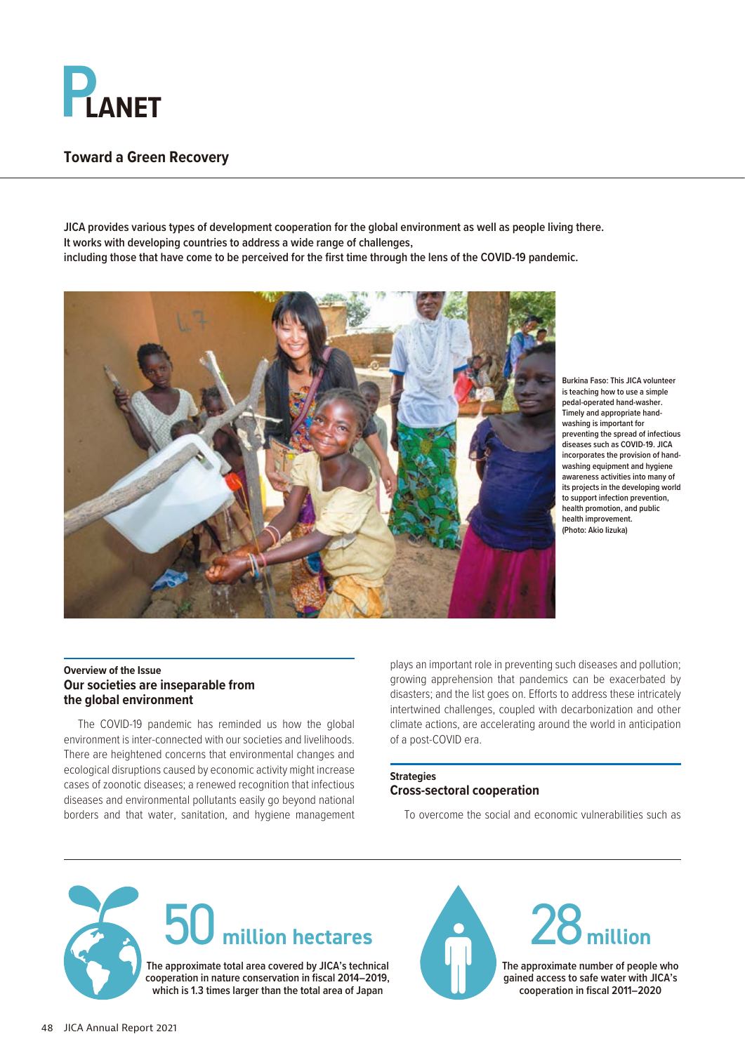

# **Toward a Green Recovery**

**JICA provides various types of development cooperation for the global environment as well as people living there. It works with developing countries to address a wide range of challenges, including those that have come to be perceived for the first time through the lens of the COVID-19 pandemic.**



**Burkina Faso: This JICA volunteer is teaching how to use a simple pedal-operated hand-washer. Timely and appropriate handwashing is important for preventing the spread of infectious diseases such as COVID-19. JICA incorporates the provision of handwashing equipment and hygiene awareness activities into many of its projects in the developing world to support infection prevention, health promotion, and public health improvement. (Photo: Akio Iizuka)**

#### **Overview of the Issue Our societies are inseparable from the global environment**

The COVID-19 pandemic has reminded us how the global environment is inter-connected with our societies and livelihoods. There are heightened concerns that environmental changes and ecological disruptions caused by economic activity might increase cases of zoonotic diseases; a renewed recognition that infectious diseases and environmental pollutants easily go beyond national borders and that water, sanitation, and hygiene management plays an important role in preventing such diseases and pollution; growing apprehension that pandemics can be exacerbated by disasters; and the list goes on. Efforts to address these intricately intertwined challenges, coupled with decarbonization and other climate actions, are accelerating around the world in anticipation of a post-COVID era.

### **Strategies Cross-sectoral cooperation**

To overcome the social and economic vulnerabilities such as







**The approximate number of people who gained access to safe water with JICA's cooperation in fiscal 2011–2020**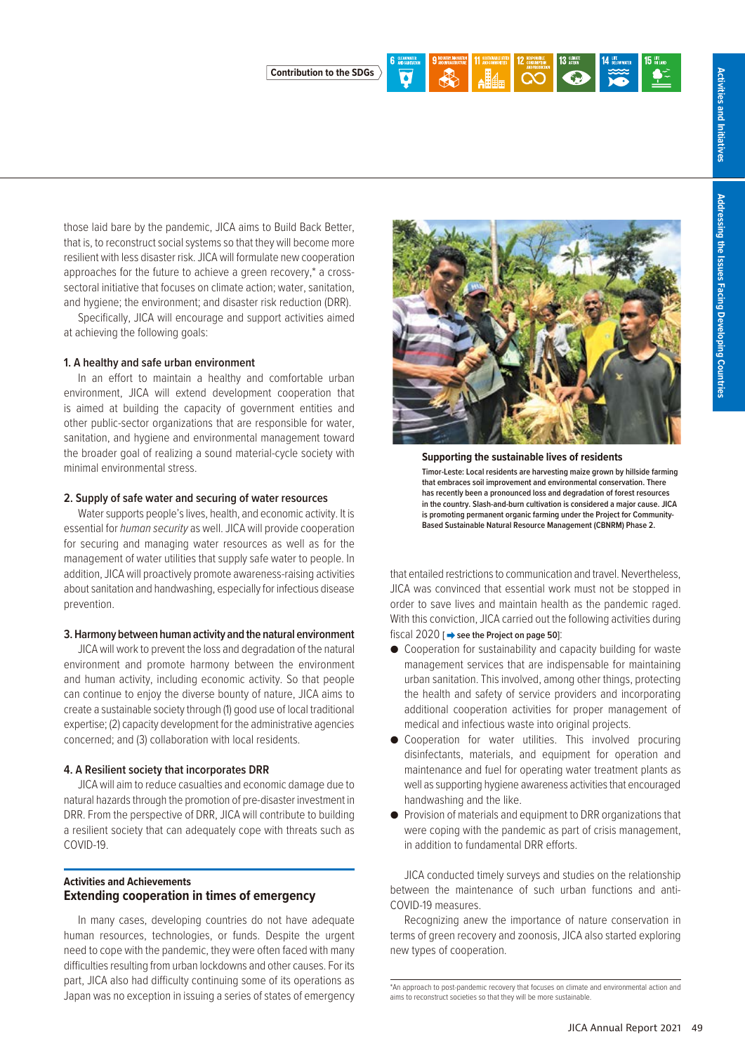

those laid bare by the pandemic, JICA aims to Build Back Better, that is, to reconstruct social systems so that they will become more resilient with less disaster risk. JICA will formulate new cooperation approaches for the future to achieve a green recovery,\* a crosssectoral initiative that focuses on climate action; water, sanitation,

and hygiene; the environment; and disaster risk reduction (DRR). Specifically, JICA will encourage and support activities aimed at achieving the following goals:

#### **1. A healthy and safe urban environment**

In an effort to maintain a healthy and comfortable urban environment, JICA will extend development cooperation that is aimed at building the capacity of government entities and other public-sector organizations that are responsible for water, sanitation, and hygiene and environmental management toward the broader goal of realizing a sound material-cycle society with minimal environmental stress.

#### **2. Supply of safe water and securing of water resources**

Water supports people's lives, health, and economic activity. It is essential for *human security* as well. JICA will provide cooperation for securing and managing water resources as well as for the management of water utilities that supply safe water to people. In addition, JICA will proactively promote awareness-raising activities about sanitation and handwashing, especially for infectious disease prevention.

#### **3. Harmony between human activity and the natural environment**

JICA will work to prevent the loss and degradation of the natural environment and promote harmony between the environment and human activity, including economic activity. So that people can continue to enjoy the diverse bounty of nature, JICA aims to create a sustainable society through (1) good use of local traditional expertise; (2) capacity development for the administrative agencies concerned; and (3) collaboration with local residents.

#### **4. A Resilient society that incorporates DRR**

JICA will aim to reduce casualties and economic damage due to natural hazards through the promotion of pre-disaster investment in DRR. From the perspective of DRR, JICA will contribute to building a resilient society that can adequately cope with threats such as COVID-19.

#### **Activities and Achievements Extending cooperation in times of emergency**

In many cases, developing countries do not have adequate human resources, technologies, or funds. Despite the urgent need to cope with the pandemic, they were often faced with many difficulties resulting from urban lockdowns and other causes. For its part, JICA also had difficulty continuing some of its operations as Japan was no exception in issuing a series of states of emergency



**Supporting the sustainable lives of residents Timor-Leste: Local residents are harvesting maize grown by hillside farming that embraces soil improvement and environmental conservation. There has recently been a pronounced loss and degradation of forest resources in the country. Slash-and-burn cultivation is considered a major cause. JICA is promoting permanent organic farming under the Project for Community-Based Sustainable Natural Resource Management (CBNRM) Phase 2.**

that entailed restrictions to communication and travel. Nevertheless, JICA was convinced that essential work must not be stopped in order to save lives and maintain health as the pandemic raged. With this conviction, JICA carried out the following activities during fiscal 2020 [ $\rightarrow$  see the Project on page 50]:

- Cooperation for sustainability and capacity building for waste management services that are indispensable for maintaining urban sanitation. This involved, among other things, protecting the health and safety of service providers and incorporating additional cooperation activities for proper management of medical and infectious waste into original projects.
- Cooperation for water utilities. This involved procuring disinfectants, materials, and equipment for operation and maintenance and fuel for operating water treatment plants as well as supporting hygiene awareness activities that encouraged handwashing and the like.
- Provision of materials and equipment to DRR organizations that were coping with the pandemic as part of crisis management, in addition to fundamental DRR efforts.

JICA conducted timely surveys and studies on the relationship between the maintenance of such urban functions and anti-COVID-19 measures.

Recognizing anew the importance of nature conservation in terms of green recovery and zoonosis, JICA also started exploring new types of cooperation.

<sup>\*</sup>An approach to post-pandemic recovery that focuses on climate and environmental action and aims to reconstruct societies so that they will be more sustainable.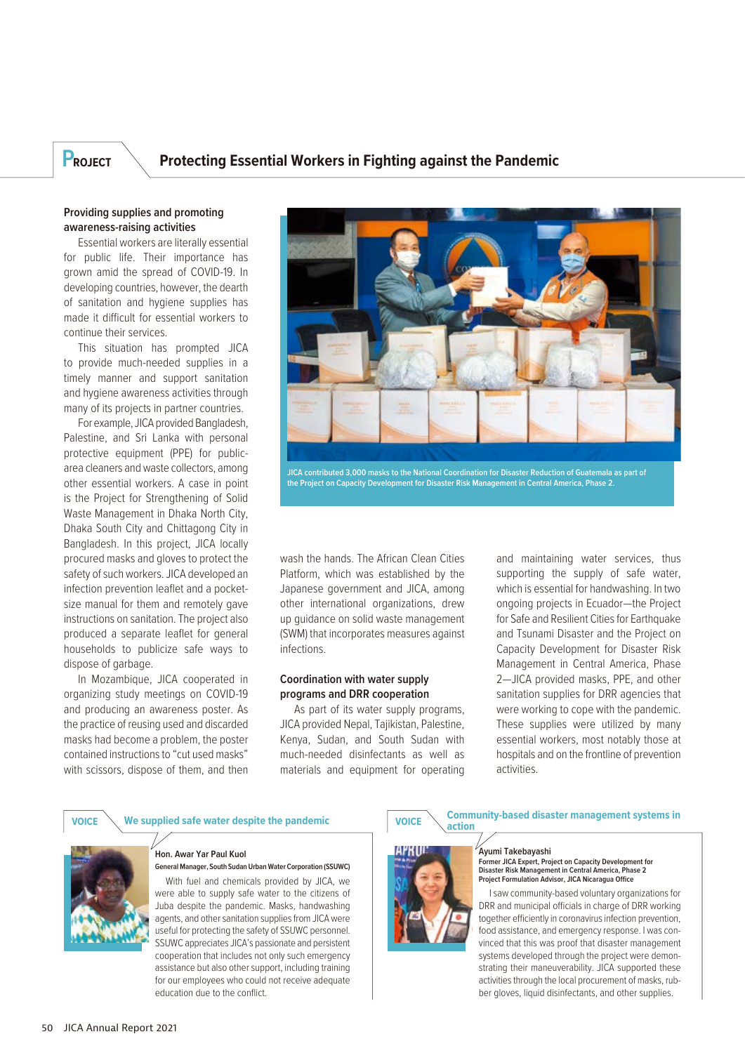## **PROJECT Protecting Essential Workers in Fighting against the Pandemic**

#### **Providing supplies and promoting awareness-raising activities**

Essential workers are literally essential for public life. Their importance has grown amid the spread of COVID-19. In developing countries, however, the dearth of sanitation and hygiene supplies has made it difficult for essential workers to continue their services.

This situation has prompted JICA to provide much-needed supplies in a timely manner and support sanitation and hygiene awareness activities through many of its projects in partner countries.

For example, JICA provided Bangladesh, Palestine, and Sri Lanka with personal protective equipment (PPE) for publicarea cleaners and waste collectors, among other essential workers. A case in point is the Project for Strengthening of Solid Waste Management in Dhaka North City, Dhaka South City and Chittagong City in Bangladesh. In this project, JICA locally procured masks and gloves to protect the safety of such workers. JICA developed an infection prevention leaflet and a pocketsize manual for them and remotely gave instructions on sanitation. The project also produced a separate leaflet for general households to publicize safe ways to dispose of garbage.

In Mozambique, JICA cooperated in organizing study meetings on COVID-19 and producing an awareness poster. As the practice of reusing used and discarded masks had become a problem, the poster contained instructions to "cut used masks" with scissors, dispose of them, and then



**JICA contributed 3,000 masks to the National Coordination for Disaster Reduction of Guatemala as part of the Project on Capacity Development for Disaster Risk Management in Central America, Phase 2.**

wash the hands. The African Clean Cities Platform, which was established by the Japanese government and JICA, among other international organizations, drew up guidance on solid waste management (SWM) that incorporates measures against infections.

#### **Coordination with water supply programs and DRR cooperation**

As part of its water supply programs, JICA provided Nepal, Tajikistan, Palestine, Kenya, Sudan, and South Sudan with much-needed disinfectants as well as materials and equipment for operating and maintaining water services, thus supporting the supply of safe water, which is essential for handwashing. In two ongoing projects in Ecuador—the Project for Safe and Resilient Cities for Earthquake and Tsunami Disaster and the Project on Capacity Development for Disaster Risk Management in Central America, Phase 2—JICA provided masks, PPE, and other sanitation supplies for DRR agencies that were working to cope with the pandemic. These supplies were utilized by many essential workers, most notably those at hospitals and on the frontline of prevention activities.



# **VOICE** We supplied safe water despite the pandemic<br>
VOICE antism in the supplied safe water despite the pandemic

### **Hon. Awar Yar Paul Kuol**

**General Manager, South Sudan Urban Water Corporation (SSUWC)** With fuel and chemicals provided by JICA, we

were able to supply safe water to the citizens of Juba despite the pandemic. Masks, handwashing agents, and other sanitation supplies from JICA were useful for protecting the safety of SSUWC personnel. SSUWC appreciates JICA's passionate and persistent cooperation that includes not only such emergency assistance but also other support, including training for our employees who could not receive adequate education due to the conflict.

# **Ayumi Takebayashi**



**action**

**Former JICA Expert, Project on Capacity Development for Disaster Risk Management in Central America, Phase 2 Project Formulation Advisor, JICA Nicaragua Office**

I saw community-based voluntary organizations for DRR and municipal officials in charge of DRR working together efficiently in coronavirus infection prevention, food assistance, and emergency response. I was convinced that this was proof that disaster management systems developed through the project were demonstrating their maneuverability. JICA supported these activities through the local procurement of masks, rubber gloves, liquid disinfectants, and other supplies.